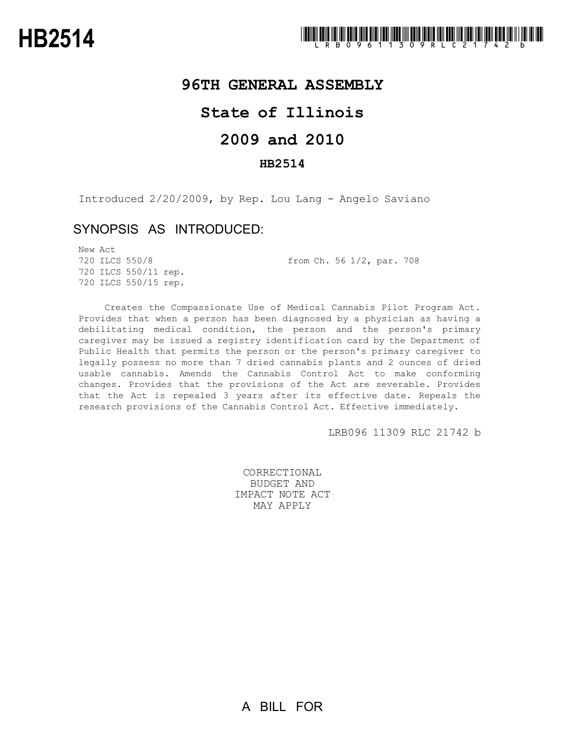### **96TH GENERAL ASSEMBLY**

# **State of Illinois**

# **2009 and 2010**

#### **HB2514**

Introduced 2/20/2009, by Rep. Lou Lang - Angelo Saviano

#### SYNOPSIS AS INTRODUCED:

New Act 720 ILCS 550/8 from Ch. 56 1/2, par. 708 720 ILCS 550/11 rep. 720 ILCS 550/15 rep.

Creates the Compassionate Use of Medical Cannabis Pilot Program Act. Provides that when a person has been diagnosed by a physician as having a debilitating medical condition, the person and the person's primary caregiver may be issued a registry identification card by the Department of Public Health that permits the person or the person's primary caregiver to legally possess no more than 7 dried cannabis plants and 2 ounces of dried usable cannabis. Amends the Cannabis Control Act to make conforming changes. Provides that the provisions of the Act are severable. Provides that the Act is repealed 3 years after its effective date. Repeals the research provisions of the Cannabis Control Act. Effective immediately.

LRB096 11309 RLC 21742 b

CORRECTIONAL BUDGET AND IMPACT NOTE ACT MAY APPLY

A BILL FOR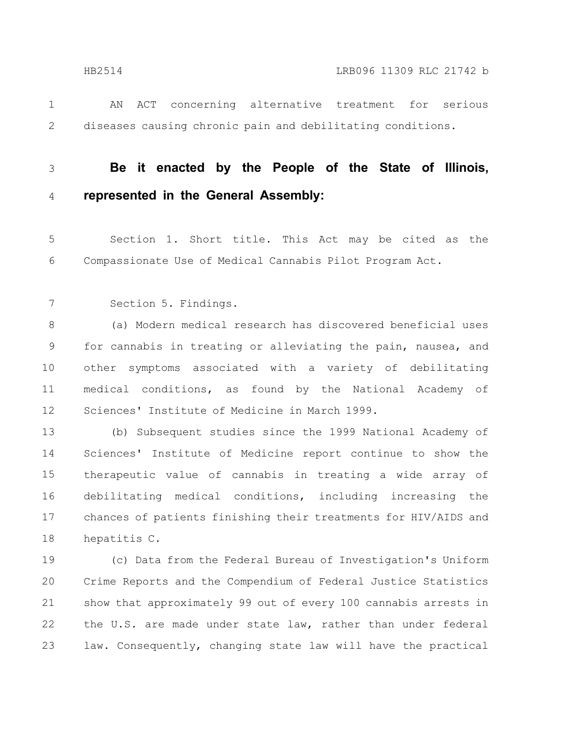- 
- AN ACT concerning alternative treatment for serious diseases causing chronic pain and debilitating conditions. 1 2
- 3

4

- **Be it enacted by the People of the State of Illinois, represented in the General Assembly:**
- Section 1. Short title. This Act may be cited as the Compassionate Use of Medical Cannabis Pilot Program Act. 5 6
- Section 5. Findings. 7

(a) Modern medical research has discovered beneficial uses for cannabis in treating or alleviating the pain, nausea, and other symptoms associated with a variety of debilitating medical conditions, as found by the National Academy of Sciences' Institute of Medicine in March 1999. 8 9 10 11 12

(b) Subsequent studies since the 1999 National Academy of Sciences' Institute of Medicine report continue to show the therapeutic value of cannabis in treating a wide array of debilitating medical conditions, including increasing the chances of patients finishing their treatments for HIV/AIDS and hepatitis C. 13 14 15 16 17 18

(c) Data from the Federal Bureau of Investigation's Uniform Crime Reports and the Compendium of Federal Justice Statistics show that approximately 99 out of every 100 cannabis arrests in the U.S. are made under state law, rather than under federal law. Consequently, changing state law will have the practical 19 20 21 22 23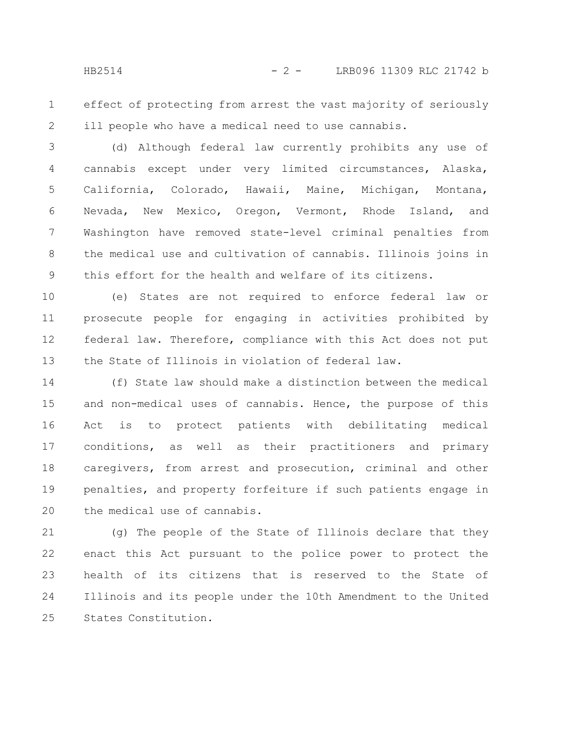effect of protecting from arrest the vast majority of seriously ill people who have a medical need to use cannabis. 1 2

(d) Although federal law currently prohibits any use of cannabis except under very limited circumstances, Alaska, California, Colorado, Hawaii, Maine, Michigan, Montana, Nevada, New Mexico, Oregon, Vermont, Rhode Island, and Washington have removed state-level criminal penalties from the medical use and cultivation of cannabis. Illinois joins in this effort for the health and welfare of its citizens. 3 4 5 6 7 8 9

(e) States are not required to enforce federal law or prosecute people for engaging in activities prohibited by federal law. Therefore, compliance with this Act does not put the State of Illinois in violation of federal law. 10 11 12 13

(f) State law should make a distinction between the medical and non-medical uses of cannabis. Hence, the purpose of this Act is to protect patients with debilitating medical conditions, as well as their practitioners and primary caregivers, from arrest and prosecution, criminal and other penalties, and property forfeiture if such patients engage in the medical use of cannabis. 14 15 16 17 18 19 20

(g) The people of the State of Illinois declare that they enact this Act pursuant to the police power to protect the health of its citizens that is reserved to the State of Illinois and its people under the 10th Amendment to the United States Constitution. 21 22 23 24 25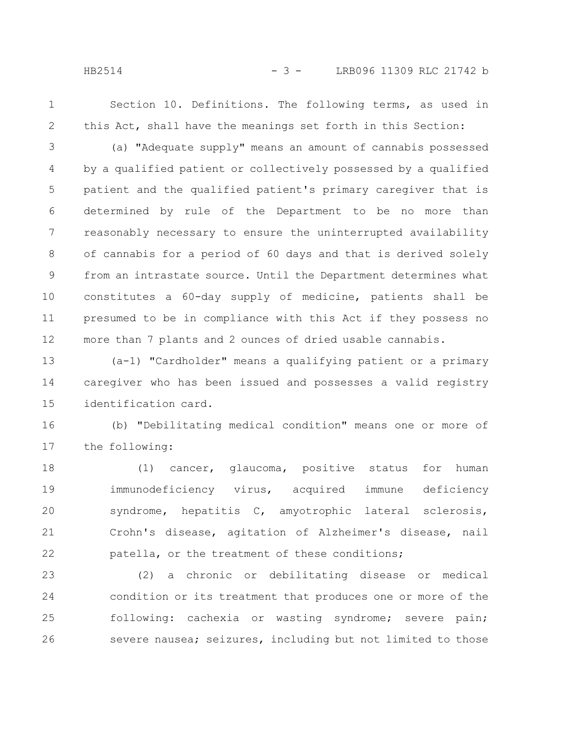1 2

Section 10. Definitions. The following terms, as used in this Act, shall have the meanings set forth in this Section:

(a) "Adequate supply" means an amount of cannabis possessed by a qualified patient or collectively possessed by a qualified patient and the qualified patient's primary caregiver that is determined by rule of the Department to be no more than reasonably necessary to ensure the uninterrupted availability of cannabis for a period of 60 days and that is derived solely from an intrastate source. Until the Department determines what constitutes a 60-day supply of medicine, patients shall be presumed to be in compliance with this Act if they possess no more than 7 plants and 2 ounces of dried usable cannabis. 3 4 5 6 7 8 9 10 11 12

(a-1) "Cardholder" means a qualifying patient or a primary caregiver who has been issued and possesses a valid registry identification card. 13 14 15

(b) "Debilitating medical condition" means one or more of the following: 16 17

(1) cancer, glaucoma, positive status for human immunodeficiency virus, acquired immune deficiency syndrome, hepatitis C, amyotrophic lateral sclerosis, Crohn's disease, agitation of Alzheimer's disease, nail patella, or the treatment of these conditions; 18 19 20 21 22

(2) a chronic or debilitating disease or medical condition or its treatment that produces one or more of the following: cachexia or wasting syndrome; severe pain; severe nausea; seizures, including but not limited to those 23 24 25 26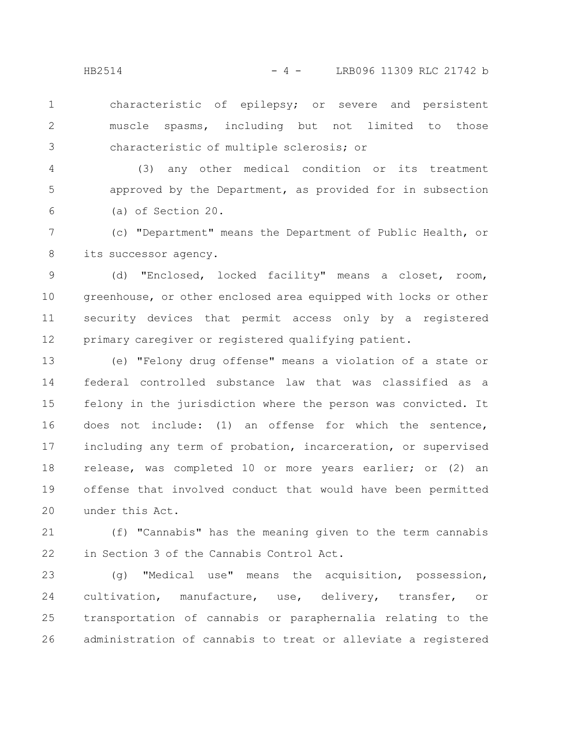characteristic of epilepsy; or severe and persistent muscle spasms, including but not limited to those characteristic of multiple sclerosis; or 1 2 3

(3) any other medical condition or its treatment approved by the Department, as provided for in subsection (a) of Section 20. 4 5 6

(c) "Department" means the Department of Public Health, or its successor agency. 7 8

(d) "Enclosed, locked facility" means a closet, room, greenhouse, or other enclosed area equipped with locks or other security devices that permit access only by a registered primary caregiver or registered qualifying patient. 9 10 11 12

(e) "Felony drug offense" means a violation of a state or federal controlled substance law that was classified as a felony in the jurisdiction where the person was convicted. It does not include: (1) an offense for which the sentence, including any term of probation, incarceration, or supervised release, was completed 10 or more years earlier; or (2) an offense that involved conduct that would have been permitted under this Act. 13 14 15 16 17 18 19 20

(f) "Cannabis" has the meaning given to the term cannabis in Section 3 of the Cannabis Control Act. 21 22

(g) "Medical use" means the acquisition, possession, cultivation, manufacture, use, delivery, transfer, or transportation of cannabis or paraphernalia relating to the administration of cannabis to treat or alleviate a registered 23 24 25 26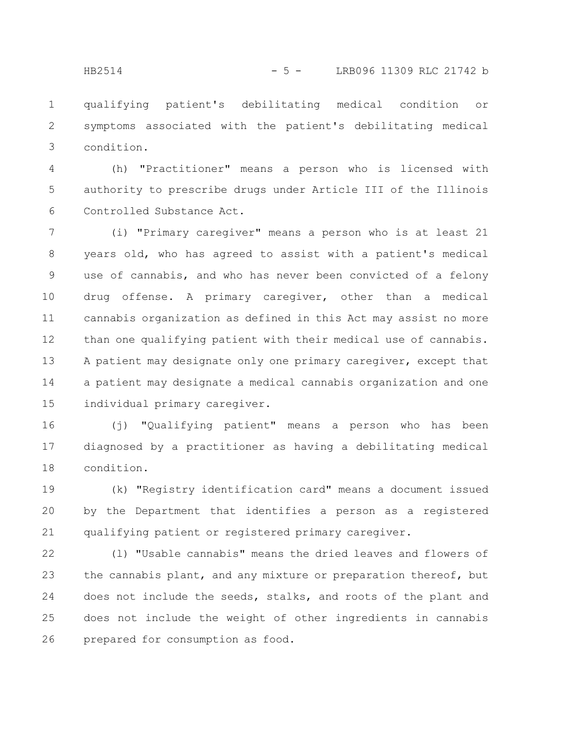qualifying patient's debilitating medical condition or symptoms associated with the patient's debilitating medical condition. 1 2 3

(h) "Practitioner" means a person who is licensed with authority to prescribe drugs under Article III of the Illinois Controlled Substance Act. 4 5 6

(i) "Primary caregiver" means a person who is at least 21 years old, who has agreed to assist with a patient's medical use of cannabis, and who has never been convicted of a felony drug offense. A primary caregiver, other than a medical cannabis organization as defined in this Act may assist no more than one qualifying patient with their medical use of cannabis. A patient may designate only one primary caregiver, except that a patient may designate a medical cannabis organization and one individual primary caregiver. 7 8 9 10 11 12 13 14 15

(j) "Qualifying patient" means a person who has been diagnosed by a practitioner as having a debilitating medical condition. 16 17 18

(k) "Registry identification card" means a document issued by the Department that identifies a person as a registered qualifying patient or registered primary caregiver. 19 20 21

(l) "Usable cannabis" means the dried leaves and flowers of the cannabis plant, and any mixture or preparation thereof, but does not include the seeds, stalks, and roots of the plant and does not include the weight of other ingredients in cannabis prepared for consumption as food. 22 23 24 25 26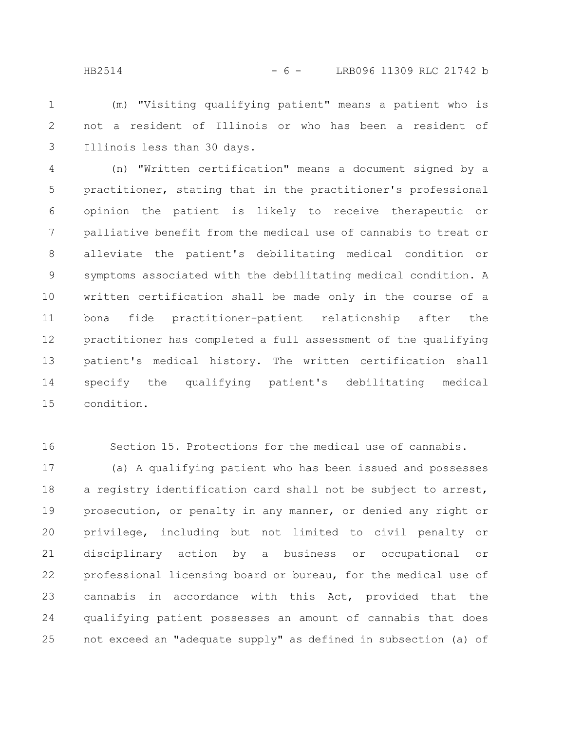(m) "Visiting qualifying patient" means a patient who is not a resident of Illinois or who has been a resident of Illinois less than 30 days. 1 2 3

(n) "Written certification" means a document signed by a practitioner, stating that in the practitioner's professional opinion the patient is likely to receive therapeutic or palliative benefit from the medical use of cannabis to treat or alleviate the patient's debilitating medical condition or symptoms associated with the debilitating medical condition. A written certification shall be made only in the course of a bona fide practitioner-patient relationship after the practitioner has completed a full assessment of the qualifying patient's medical history. The written certification shall specify the qualifying patient's debilitating medical condition. 4 5 6 7 8 9 10 11 12 13 14 15

16

Section 15. Protections for the medical use of cannabis.

(a) A qualifying patient who has been issued and possesses a registry identification card shall not be subject to arrest, prosecution, or penalty in any manner, or denied any right or privilege, including but not limited to civil penalty or disciplinary action by a business or occupational or professional licensing board or bureau, for the medical use of cannabis in accordance with this Act, provided that the qualifying patient possesses an amount of cannabis that does not exceed an "adequate supply" as defined in subsection (a) of 17 18 19 20 21 22 23 24 25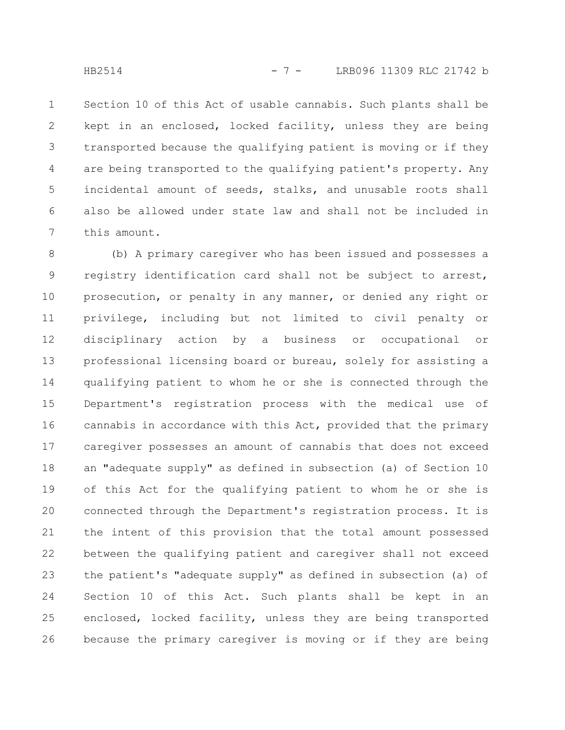Section 10 of this Act of usable cannabis. Such plants shall be kept in an enclosed, locked facility, unless they are being transported because the qualifying patient is moving or if they are being transported to the qualifying patient's property. Any incidental amount of seeds, stalks, and unusable roots shall also be allowed under state law and shall not be included in this amount. 1 2 3 4 5 6 7

(b) A primary caregiver who has been issued and possesses a registry identification card shall not be subject to arrest, prosecution, or penalty in any manner, or denied any right or privilege, including but not limited to civil penalty or disciplinary action by a business or occupational or professional licensing board or bureau, solely for assisting a qualifying patient to whom he or she is connected through the Department's registration process with the medical use of cannabis in accordance with this Act, provided that the primary caregiver possesses an amount of cannabis that does not exceed an "adequate supply" as defined in subsection (a) of Section 10 of this Act for the qualifying patient to whom he or she is connected through the Department's registration process. It is the intent of this provision that the total amount possessed between the qualifying patient and caregiver shall not exceed the patient's "adequate supply" as defined in subsection (a) of Section 10 of this Act. Such plants shall be kept in an enclosed, locked facility, unless they are being transported because the primary caregiver is moving or if they are being 8 9 10 11 12 13 14 15 16 17 18 19 20 21 22 23 24 25 26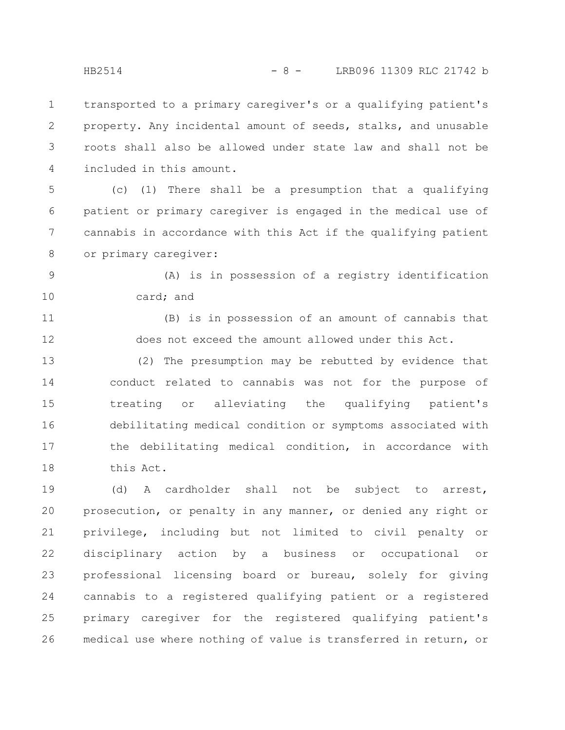transported to a primary caregiver's or a qualifying patient's property. Any incidental amount of seeds, stalks, and unusable roots shall also be allowed under state law and shall not be included in this amount. 1 2 3 4

(c) (1) There shall be a presumption that a qualifying patient or primary caregiver is engaged in the medical use of cannabis in accordance with this Act if the qualifying patient or primary caregiver: 5 6 7 8

(A) is in possession of a registry identification card; and 9 10

(B) is in possession of an amount of cannabis that does not exceed the amount allowed under this Act. 11 12

(2) The presumption may be rebutted by evidence that conduct related to cannabis was not for the purpose of treating or alleviating the qualifying patient's debilitating medical condition or symptoms associated with the debilitating medical condition, in accordance with this Act. 13 14 15 16 17 18

(d) A cardholder shall not be subject to arrest, prosecution, or penalty in any manner, or denied any right or privilege, including but not limited to civil penalty or disciplinary action by a business or occupational or professional licensing board or bureau, solely for giving cannabis to a registered qualifying patient or a registered primary caregiver for the registered qualifying patient's medical use where nothing of value is transferred in return, or 19 20 21 22 23 24 25 26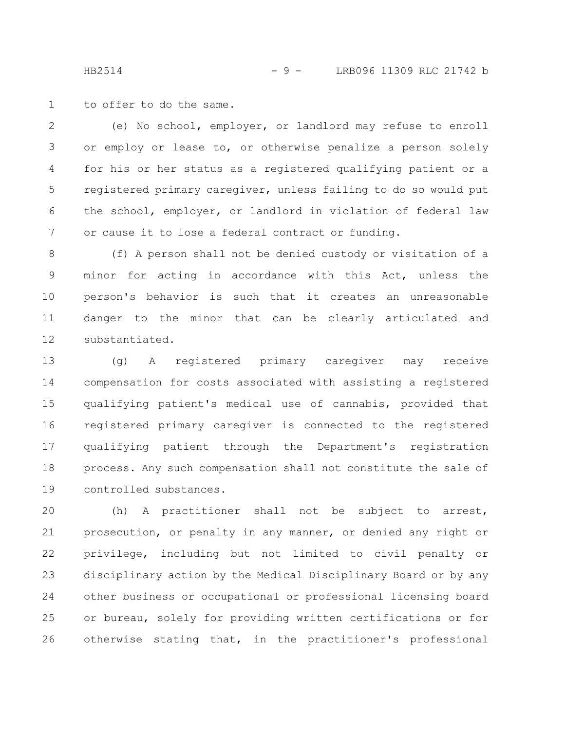HB2514 - 9 - LRB096 11309 RLC 21742 b

to offer to do the same. 1

(e) No school, employer, or landlord may refuse to enroll or employ or lease to, or otherwise penalize a person solely for his or her status as a registered qualifying patient or a registered primary caregiver, unless failing to do so would put the school, employer, or landlord in violation of federal law or cause it to lose a federal contract or funding. 2 3 4 5 6 7

(f) A person shall not be denied custody or visitation of a minor for acting in accordance with this Act, unless the person's behavior is such that it creates an unreasonable danger to the minor that can be clearly articulated and substantiated. 8 9 10 11 12

(g) A registered primary caregiver may receive compensation for costs associated with assisting a registered qualifying patient's medical use of cannabis, provided that registered primary caregiver is connected to the registered qualifying patient through the Department's registration process. Any such compensation shall not constitute the sale of controlled substances. 13 14 15 16 17 18 19

(h) A practitioner shall not be subject to arrest, prosecution, or penalty in any manner, or denied any right or privilege, including but not limited to civil penalty or disciplinary action by the Medical Disciplinary Board or by any other business or occupational or professional licensing board or bureau, solely for providing written certifications or for otherwise stating that, in the practitioner's professional 20 21 22 23 24 25 26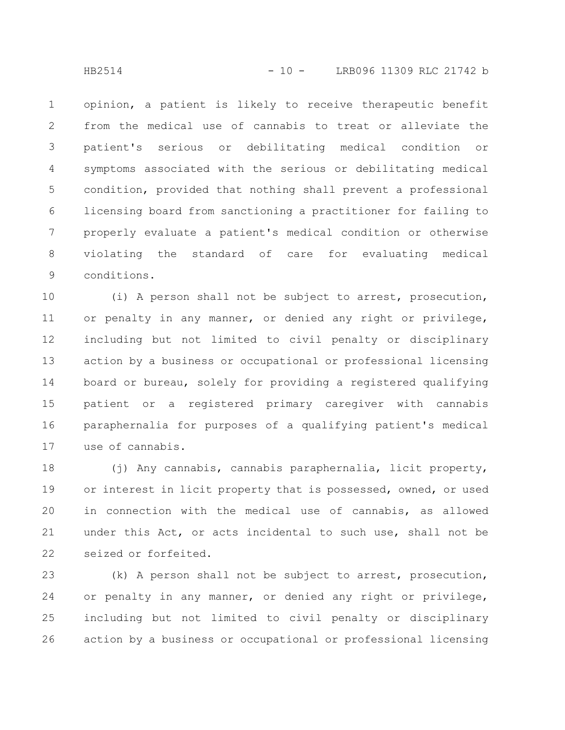opinion, a patient is likely to receive therapeutic benefit from the medical use of cannabis to treat or alleviate the patient's serious or debilitating medical condition or symptoms associated with the serious or debilitating medical condition, provided that nothing shall prevent a professional licensing board from sanctioning a practitioner for failing to properly evaluate a patient's medical condition or otherwise violating the standard of care for evaluating medical conditions. 1 2 3 4 5 6 7 8 9

(i) A person shall not be subject to arrest, prosecution, or penalty in any manner, or denied any right or privilege, including but not limited to civil penalty or disciplinary action by a business or occupational or professional licensing board or bureau, solely for providing a registered qualifying patient or a registered primary caregiver with cannabis paraphernalia for purposes of a qualifying patient's medical use of cannabis. 10 11 12 13 14 15 16 17

(j) Any cannabis, cannabis paraphernalia, licit property, or interest in licit property that is possessed, owned, or used in connection with the medical use of cannabis, as allowed under this Act, or acts incidental to such use, shall not be seized or forfeited. 18 19 20 21 22

(k) A person shall not be subject to arrest, prosecution, or penalty in any manner, or denied any right or privilege, including but not limited to civil penalty or disciplinary action by a business or occupational or professional licensing 23 24 25 26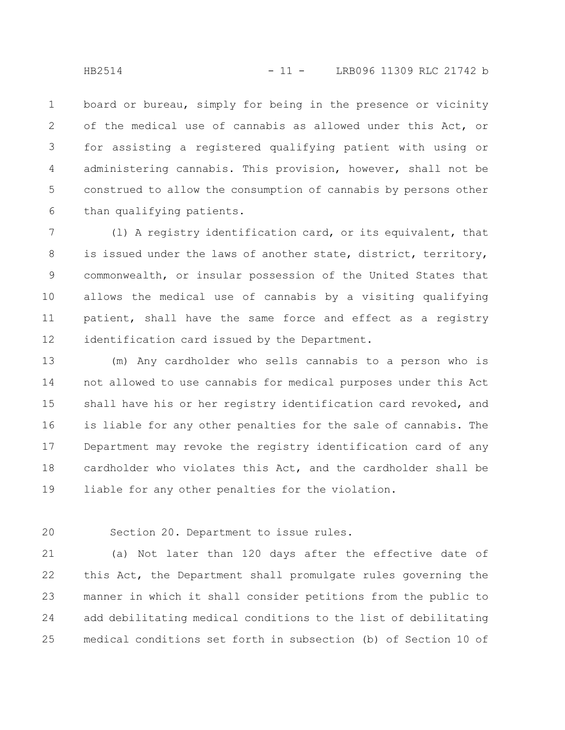board or bureau, simply for being in the presence or vicinity of the medical use of cannabis as allowed under this Act, or for assisting a registered qualifying patient with using or administering cannabis. This provision, however, shall not be construed to allow the consumption of cannabis by persons other than qualifying patients. 1 2 3 4 5 6

(l) A registry identification card, or its equivalent, that is issued under the laws of another state, district, territory, commonwealth, or insular possession of the United States that allows the medical use of cannabis by a visiting qualifying patient, shall have the same force and effect as a registry identification card issued by the Department. 7 8 9 10 11 12

(m) Any cardholder who sells cannabis to a person who is not allowed to use cannabis for medical purposes under this Act shall have his or her registry identification card revoked, and is liable for any other penalties for the sale of cannabis. The Department may revoke the registry identification card of any cardholder who violates this Act, and the cardholder shall be liable for any other penalties for the violation. 13 14 15 16 17 18 19

20

Section 20. Department to issue rules.

(a) Not later than 120 days after the effective date of this Act, the Department shall promulgate rules governing the manner in which it shall consider petitions from the public to add debilitating medical conditions to the list of debilitating medical conditions set forth in subsection (b) of Section 10 of 21 22 23 24 25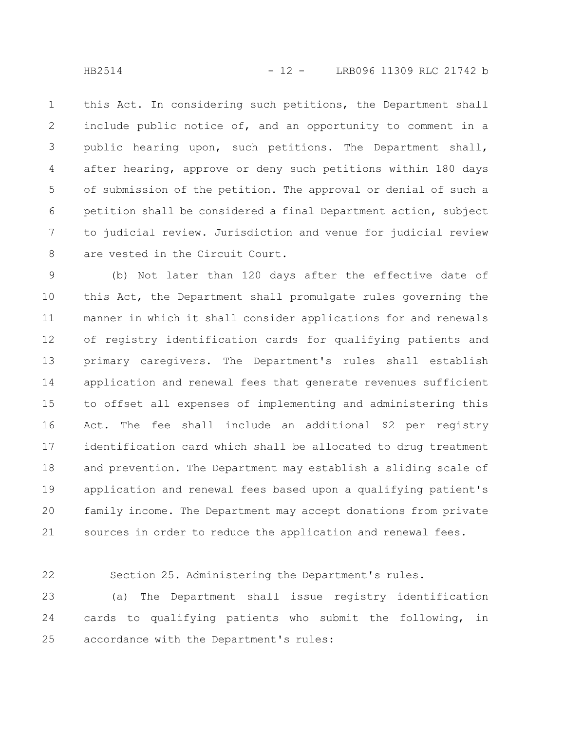this Act. In considering such petitions, the Department shall include public notice of, and an opportunity to comment in a public hearing upon, such petitions. The Department shall, after hearing, approve or deny such petitions within 180 days of submission of the petition. The approval or denial of such a petition shall be considered a final Department action, subject to judicial review. Jurisdiction and venue for judicial review are vested in the Circuit Court. 1 2 3 4 5 6 7 8

(b) Not later than 120 days after the effective date of this Act, the Department shall promulgate rules governing the manner in which it shall consider applications for and renewals of registry identification cards for qualifying patients and primary caregivers. The Department's rules shall establish application and renewal fees that generate revenues sufficient to offset all expenses of implementing and administering this Act. The fee shall include an additional \$2 per registry identification card which shall be allocated to drug treatment and prevention. The Department may establish a sliding scale of application and renewal fees based upon a qualifying patient's family income. The Department may accept donations from private sources in order to reduce the application and renewal fees. 9 10 11 12 13 14 15 16 17 18 19 20 21

22

Section 25. Administering the Department's rules.

(a) The Department shall issue registry identification cards to qualifying patients who submit the following, in accordance with the Department's rules: 23 24 25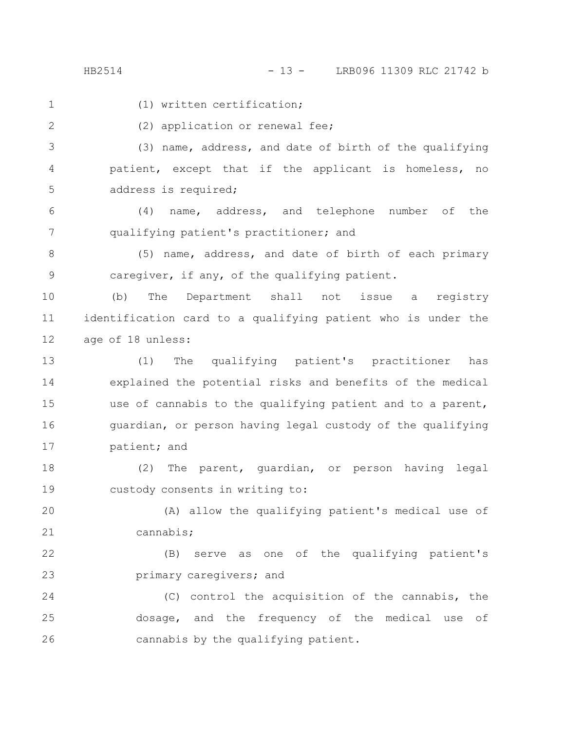HB2514 - 13 - LRB096 11309 RLC 21742 b

1

(1) written certification;

2

(2) application or renewal fee;

(3) name, address, and date of birth of the qualifying patient, except that if the applicant is homeless, no address is required; 3 4 5

(4) name, address, and telephone number of the qualifying patient's practitioner; and 6 7

(5) name, address, and date of birth of each primary caregiver, if any, of the qualifying patient. 8 9

(b) The Department shall not issue a registry identification card to a qualifying patient who is under the age of 18 unless: 10 11 12

(1) The qualifying patient's practitioner has explained the potential risks and benefits of the medical use of cannabis to the qualifying patient and to a parent, guardian, or person having legal custody of the qualifying patient; and 13 14 15 16 17

(2) The parent, guardian, or person having legal custody consents in writing to: 18 19

(A) allow the qualifying patient's medical use of cannabis; 20 21

(B) serve as one of the qualifying patient's primary caregivers; and 22 23

(C) control the acquisition of the cannabis, the dosage, and the frequency of the medical use of cannabis by the qualifying patient. 24 25 26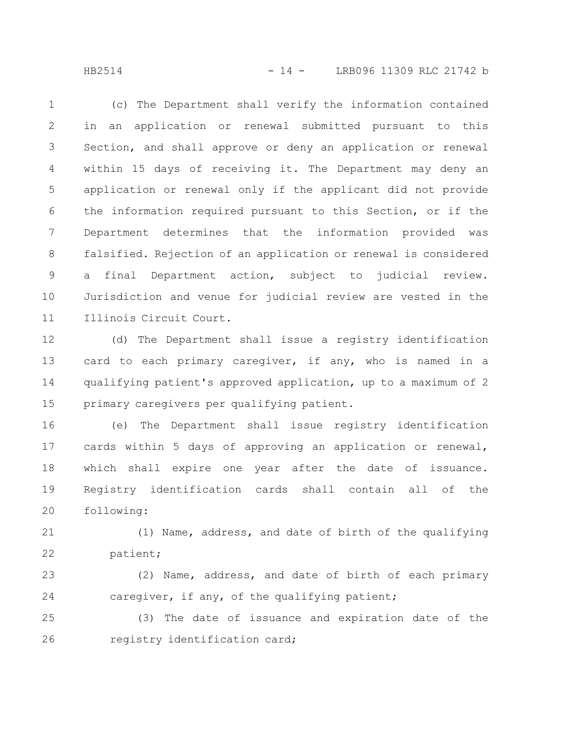HB2514 - 14 - LRB096 11309 RLC 21742 b

(c) The Department shall verify the information contained in an application or renewal submitted pursuant to this Section, and shall approve or deny an application or renewal within 15 days of receiving it. The Department may deny an application or renewal only if the applicant did not provide the information required pursuant to this Section, or if the Department determines that the information provided was falsified. Rejection of an application or renewal is considered a final Department action, subject to judicial review. Jurisdiction and venue for judicial review are vested in the Illinois Circuit Court. 1 2 3 4 5 6 7 8 9 10 11

(d) The Department shall issue a registry identification card to each primary caregiver, if any, who is named in a qualifying patient's approved application, up to a maximum of 2 primary caregivers per qualifying patient. 12 13 14 15

(e) The Department shall issue registry identification cards within 5 days of approving an application or renewal, which shall expire one year after the date of issuance. Registry identification cards shall contain all of the following: 16 17 18 19 20

(1) Name, address, and date of birth of the qualifying patient; 21 22

(2) Name, address, and date of birth of each primary caregiver, if any, of the qualifying patient; 23 24

(3) The date of issuance and expiration date of the registry identification card; 25 26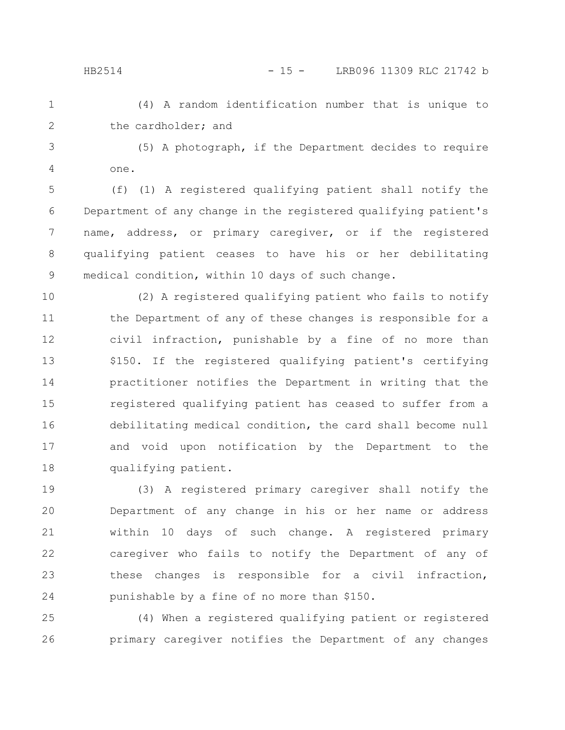(4) A random identification number that is unique to the cardholder; and 1 2

(5) A photograph, if the Department decides to require one. 3 4

(f) (1) A registered qualifying patient shall notify the Department of any change in the registered qualifying patient's name, address, or primary caregiver, or if the registered qualifying patient ceases to have his or her debilitating medical condition, within 10 days of such change. 5 6 7 8 9

(2) A registered qualifying patient who fails to notify the Department of any of these changes is responsible for a civil infraction, punishable by a fine of no more than \$150. If the registered qualifying patient's certifying practitioner notifies the Department in writing that the registered qualifying patient has ceased to suffer from a debilitating medical condition, the card shall become null and void upon notification by the Department to the qualifying patient. 10 11 12 13 14 15 16 17 18

(3) A registered primary caregiver shall notify the Department of any change in his or her name or address within 10 days of such change. A registered primary caregiver who fails to notify the Department of any of these changes is responsible for a civil infraction, punishable by a fine of no more than \$150. 19 20 21 22 23 24

(4) When a registered qualifying patient or registered primary caregiver notifies the Department of any changes 25 26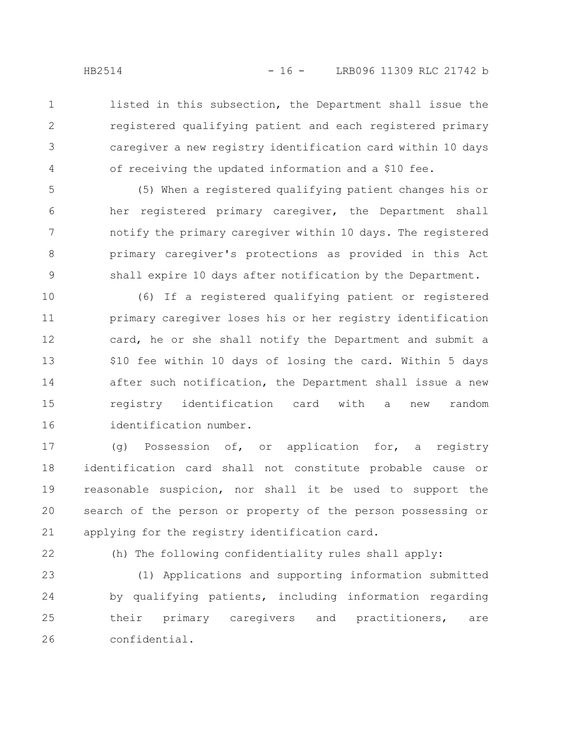listed in this subsection, the Department shall issue the registered qualifying patient and each registered primary caregiver a new registry identification card within 10 days of receiving the updated information and a \$10 fee.

(5) When a registered qualifying patient changes his or her registered primary caregiver, the Department shall notify the primary caregiver within 10 days. The registered primary caregiver's protections as provided in this Act shall expire 10 days after notification by the Department. 5 6 7 8 9

(6) If a registered qualifying patient or registered primary caregiver loses his or her registry identification card, he or she shall notify the Department and submit a \$10 fee within 10 days of losing the card. Within 5 days after such notification, the Department shall issue a new registry identification card with a new random identification number. 10 11 12 13 14 15 16

(g) Possession of, or application for, a registry identification card shall not constitute probable cause or reasonable suspicion, nor shall it be used to support the search of the person or property of the person possessing or applying for the registry identification card. 17 18 19 20 21

22

(h) The following confidentiality rules shall apply:

(1) Applications and supporting information submitted by qualifying patients, including information regarding their primary caregivers and practitioners, are confidential. 23 24 25 26

1

2

3

4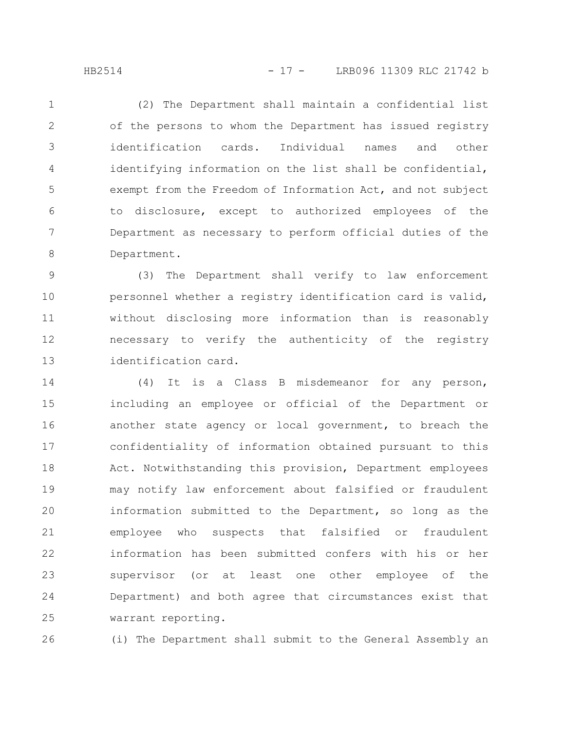(2) The Department shall maintain a confidential list of the persons to whom the Department has issued registry identification cards. Individual names and other identifying information on the list shall be confidential, exempt from the Freedom of Information Act, and not subject to disclosure, except to authorized employees of the Department as necessary to perform official duties of the Department. 1 2 3 4 5 6 7 8

(3) The Department shall verify to law enforcement personnel whether a registry identification card is valid, without disclosing more information than is reasonably necessary to verify the authenticity of the registry identification card. 9 10 11 12 13

(4) It is a Class B misdemeanor for any person, including an employee or official of the Department or another state agency or local government, to breach the confidentiality of information obtained pursuant to this Act. Notwithstanding this provision, Department employees may notify law enforcement about falsified or fraudulent information submitted to the Department, so long as the employee who suspects that falsified or fraudulent information has been submitted confers with his or her supervisor (or at least one other employee of the Department) and both agree that circumstances exist that warrant reporting. 14 15 16 17 18 19 20 21 22 23 24 25

(i) The Department shall submit to the General Assembly an 26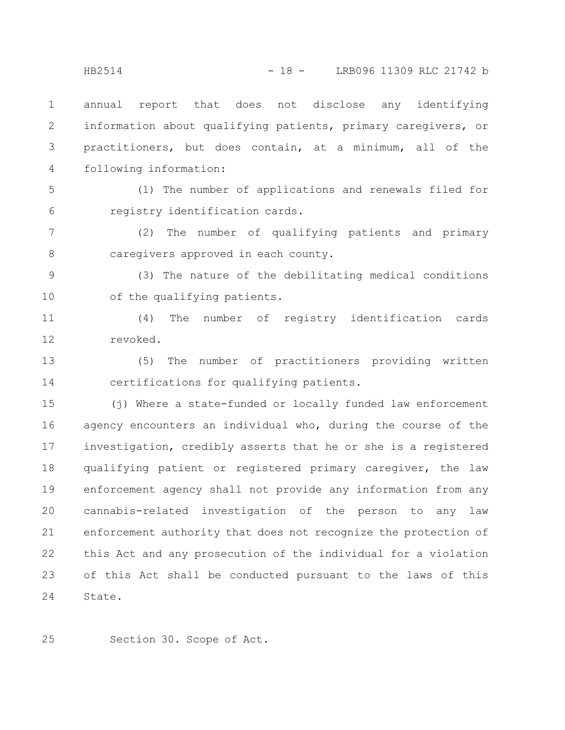annual report that does not disclose any identifying information about qualifying patients, primary caregivers, or practitioners, but does contain, at a minimum, all of the following information: 1 2 3 4

5

6

(1) The number of applications and renewals filed for registry identification cards.

(2) The number of qualifying patients and primary caregivers approved in each county. 7 8

(3) The nature of the debilitating medical conditions of the qualifying patients. 9 10

(4) The number of registry identification cards revoked. 11 12

(5) The number of practitioners providing written certifications for qualifying patients. 13 14

(j) Where a state-funded or locally funded law enforcement agency encounters an individual who, during the course of the investigation, credibly asserts that he or she is a registered qualifying patient or registered primary caregiver, the law enforcement agency shall not provide any information from any cannabis-related investigation of the person to any law enforcement authority that does not recognize the protection of this Act and any prosecution of the individual for a violation of this Act shall be conducted pursuant to the laws of this State. 15 16 17 18 19 20 21 22 23 24

25

Section 30. Scope of Act.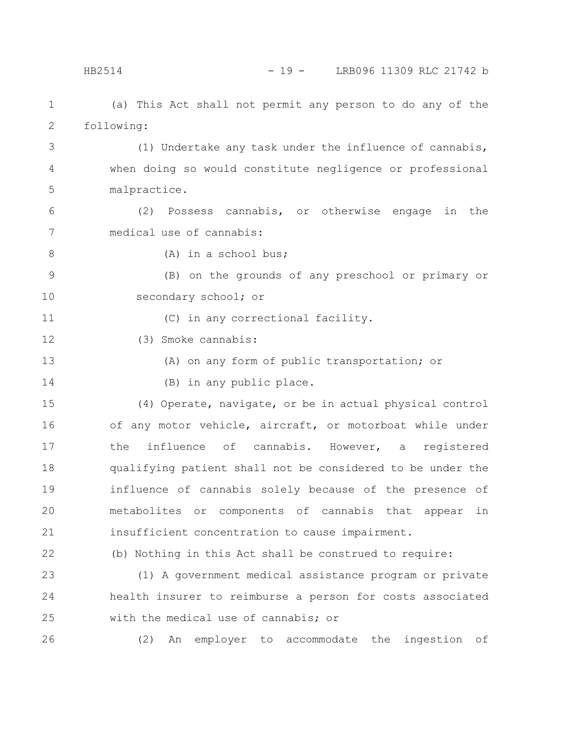(a) This Act shall not permit any person to do any of the following: 1 2

(1) Undertake any task under the influence of cannabis, when doing so would constitute negligence or professional malpractice. 3 4 5

(2) Possess cannabis, or otherwise engage in the medical use of cannabis: 6 7

8

(A) in a school bus;

(B) on the grounds of any preschool or primary or secondary school; or 9 10

11

(C) in any correctional facility.

(3) Smoke cannabis: 12

13

14

(A) on any form of public transportation; or

(B) in any public place.

(4) Operate, navigate, or be in actual physical control of any motor vehicle, aircraft, or motorboat while under the influence of cannabis. However, a registered qualifying patient shall not be considered to be under the influence of cannabis solely because of the presence of metabolites or components of cannabis that appear in insufficient concentration to cause impairment. 15 16 17 18 19 20 21

22

(b) Nothing in this Act shall be construed to require:

(1) A government medical assistance program or private health insurer to reimburse a person for costs associated with the medical use of cannabis; or 23 24 25

26

(2) An employer to accommodate the ingestion of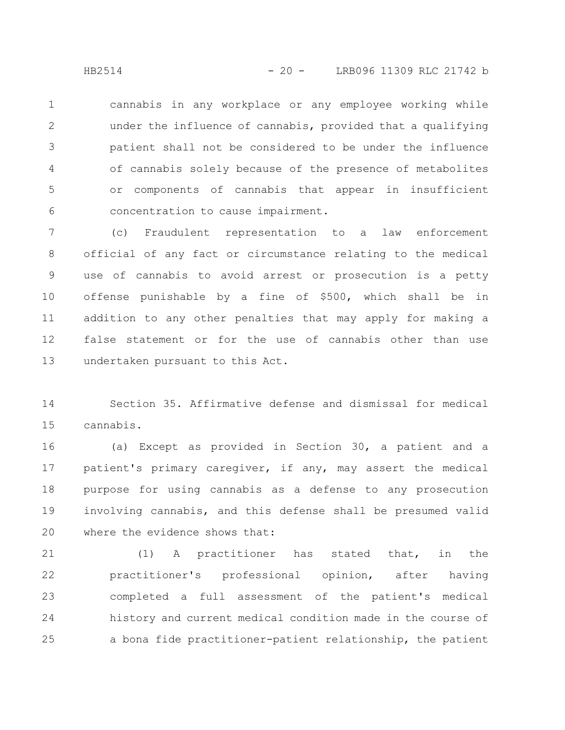cannabis in any workplace or any employee working while under the influence of cannabis, provided that a qualifying patient shall not be considered to be under the influence of cannabis solely because of the presence of metabolites or components of cannabis that appear in insufficient concentration to cause impairment. 1 2 3 4 5 6

(c) Fraudulent representation to a law enforcement official of any fact or circumstance relating to the medical use of cannabis to avoid arrest or prosecution is a petty offense punishable by a fine of \$500, which shall be in addition to any other penalties that may apply for making a false statement or for the use of cannabis other than use undertaken pursuant to this Act. 7 8 9 10 11 12 13

Section 35. Affirmative defense and dismissal for medical cannabis. 14 15

(a) Except as provided in Section 30, a patient and a patient's primary caregiver, if any, may assert the medical purpose for using cannabis as a defense to any prosecution involving cannabis, and this defense shall be presumed valid where the evidence shows that: 16 17 18 19 20

(1) A practitioner has stated that, in the practitioner's professional opinion, after having completed a full assessment of the patient's medical history and current medical condition made in the course of a bona fide practitioner-patient relationship, the patient 21 22 23 24 25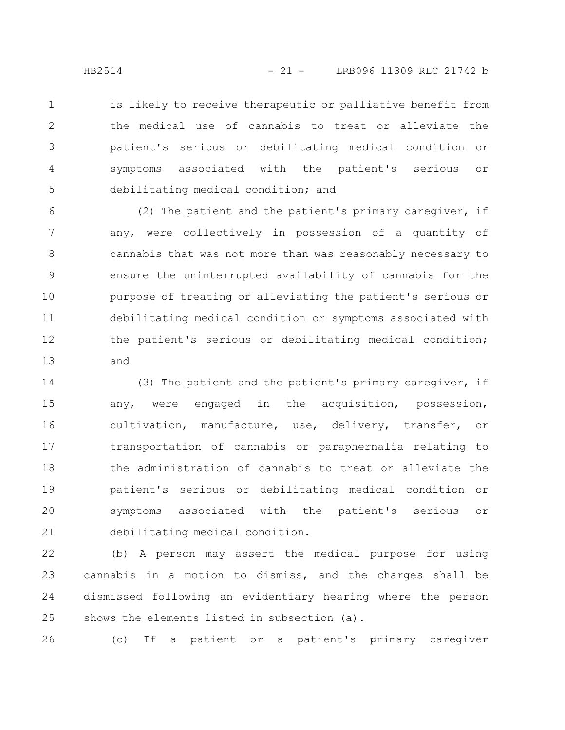is likely to receive therapeutic or palliative benefit from the medical use of cannabis to treat or alleviate the patient's serious or debilitating medical condition or symptoms associated with the patient's serious or debilitating medical condition; and 1 2 3 4 5

(2) The patient and the patient's primary caregiver, if any, were collectively in possession of a quantity of cannabis that was not more than was reasonably necessary to ensure the uninterrupted availability of cannabis for the purpose of treating or alleviating the patient's serious or debilitating medical condition or symptoms associated with the patient's serious or debilitating medical condition; and 6 7 8 9 10 11 12 13

(3) The patient and the patient's primary caregiver, if any, were engaged in the acquisition, possession, cultivation, manufacture, use, delivery, transfer, or transportation of cannabis or paraphernalia relating to the administration of cannabis to treat or alleviate the patient's serious or debilitating medical condition or symptoms associated with the patient's serious or debilitating medical condition. 14 15 16 17 18 19 20 21

(b) A person may assert the medical purpose for using cannabis in a motion to dismiss, and the charges shall be dismissed following an evidentiary hearing where the person shows the elements listed in subsection (a). 22 23 24 25

26

(c) If a patient or a patient's primary caregiver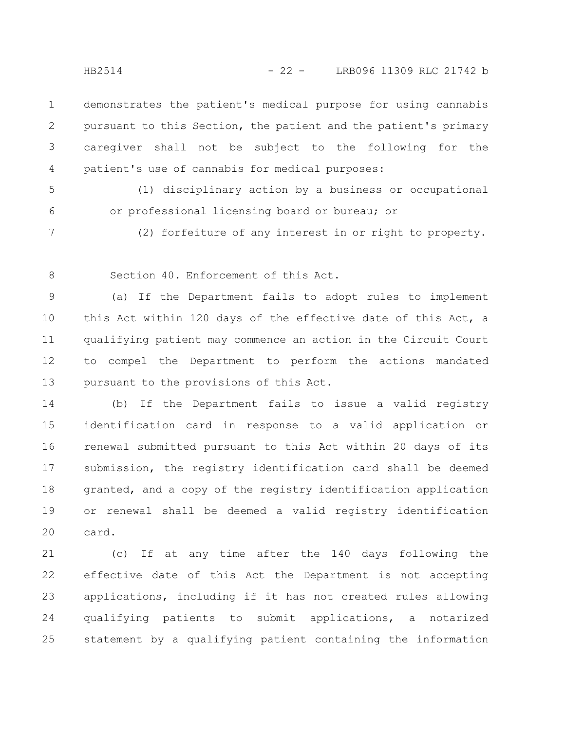demonstrates the patient's medical purpose for using cannabis pursuant to this Section, the patient and the patient's primary caregiver shall not be subject to the following for the patient's use of cannabis for medical purposes: 1 2 3 4

5

(1) disciplinary action by a business or occupational or professional licensing board or bureau; or

6 7

(2) forfeiture of any interest in or right to property.

8

Section 40. Enforcement of this Act.

(a) If the Department fails to adopt rules to implement this Act within 120 days of the effective date of this Act, a qualifying patient may commence an action in the Circuit Court to compel the Department to perform the actions mandated pursuant to the provisions of this Act. 9 10 11 12 13

(b) If the Department fails to issue a valid registry identification card in response to a valid application or renewal submitted pursuant to this Act within 20 days of its submission, the registry identification card shall be deemed granted, and a copy of the registry identification application or renewal shall be deemed a valid registry identification card. 14 15 16 17 18 19 20

(c) If at any time after the 140 days following the effective date of this Act the Department is not accepting applications, including if it has not created rules allowing qualifying patients to submit applications, a notarized statement by a qualifying patient containing the information 21 22 23 24 25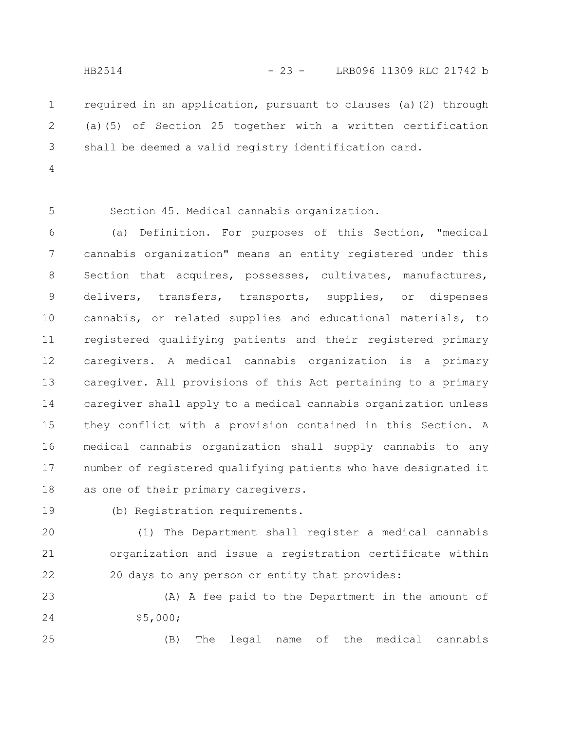required in an application, pursuant to clauses (a)(2) through (a)(5) of Section 25 together with a written certification shall be deemed a valid registry identification card. 1 2 3

4

5

Section 45. Medical cannabis organization.

(a) Definition. For purposes of this Section, "medical cannabis organization" means an entity registered under this Section that acquires, possesses, cultivates, manufactures, delivers, transfers, transports, supplies, or dispenses cannabis, or related supplies and educational materials, to registered qualifying patients and their registered primary caregivers. A medical cannabis organization is a primary caregiver. All provisions of this Act pertaining to a primary caregiver shall apply to a medical cannabis organization unless they conflict with a provision contained in this Section. A medical cannabis organization shall supply cannabis to any number of registered qualifying patients who have designated it as one of their primary caregivers. 6 7 8 9 10 11 12 13 14 15 16 17 18

19

(b) Registration requirements.

(1) The Department shall register a medical cannabis organization and issue a registration certificate within 20 days to any person or entity that provides: 20 21 22

(A) A fee paid to the Department in the amount of \$5,000; 23 24

25

(B) The legal name of the medical cannabis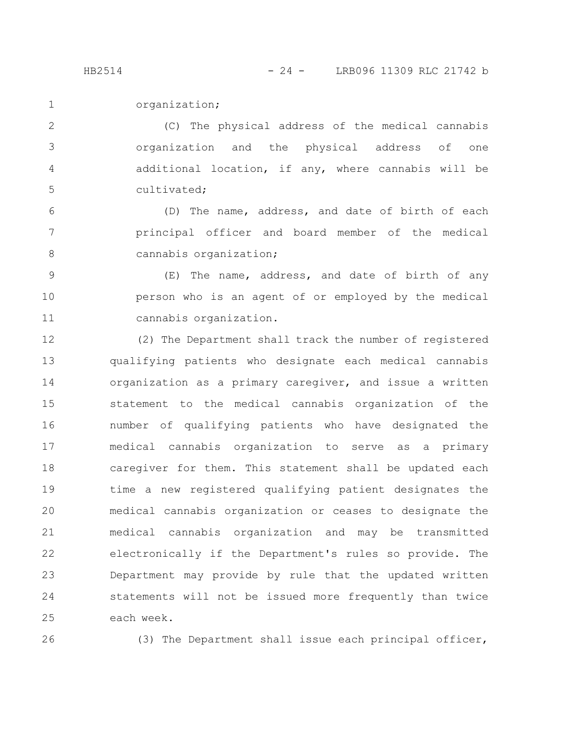organization; 1

(C) The physical address of the medical cannabis organization and the physical address of one additional location, if any, where cannabis will be cultivated; 2 3 4 5

(D) The name, address, and date of birth of each principal officer and board member of the medical cannabis organization; 6 7 8

(E) The name, address, and date of birth of any person who is an agent of or employed by the medical cannabis organization. 9 10 11

(2) The Department shall track the number of registered qualifying patients who designate each medical cannabis organization as a primary caregiver, and issue a written statement to the medical cannabis organization of the number of qualifying patients who have designated the medical cannabis organization to serve as a primary caregiver for them. This statement shall be updated each time a new registered qualifying patient designates the medical cannabis organization or ceases to designate the medical cannabis organization and may be transmitted electronically if the Department's rules so provide. The Department may provide by rule that the updated written statements will not be issued more frequently than twice each week. 12 13 14 15 16 17 18 19 20 21 22 23 24 25

26

(3) The Department shall issue each principal officer,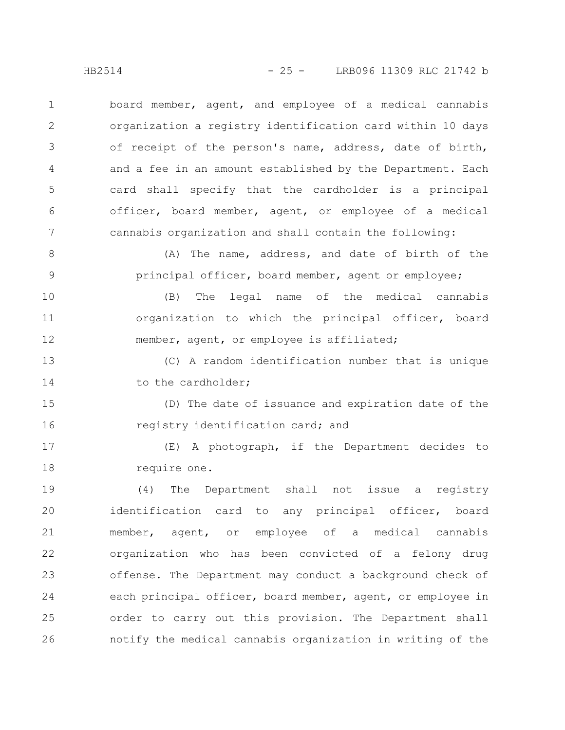board member, agent, and employee of a medical cannabis organization a registry identification card within 10 days of receipt of the person's name, address, date of birth, and a fee in an amount established by the Department. Each card shall specify that the cardholder is a principal officer, board member, agent, or employee of a medical cannabis organization and shall contain the following: 1 2 3 4 5 6 7

(A) The name, address, and date of birth of the principal officer, board member, agent or employee; 8 9

(B) The legal name of the medical cannabis organization to which the principal officer, board member, agent, or employee is affiliated; 10 11 12

(C) A random identification number that is unique to the cardholder; 13 14

(D) The date of issuance and expiration date of the registry identification card; and 15 16

(E) A photograph, if the Department decides to require one. 17 18

(4) The Department shall not issue a registry identification card to any principal officer, board member, agent, or employee of a medical cannabis organization who has been convicted of a felony drug offense. The Department may conduct a background check of each principal officer, board member, agent, or employee in order to carry out this provision. The Department shall notify the medical cannabis organization in writing of the 19 20 21 22 23 24 25 26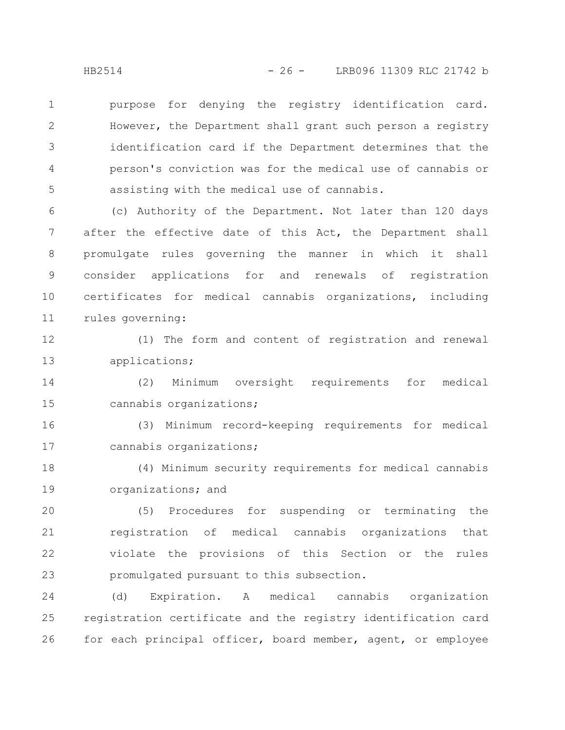purpose for denying the registry identification card. However, the Department shall grant such person a registry identification card if the Department determines that the person's conviction was for the medical use of cannabis or assisting with the medical use of cannabis. 1 2 3 4 5

(c) Authority of the Department. Not later than 120 days after the effective date of this Act, the Department shall promulgate rules governing the manner in which it shall consider applications for and renewals of registration certificates for medical cannabis organizations, including rules governing: 6 7 8 9 10 11

(1) The form and content of registration and renewal applications; 12 13

(2) Minimum oversight requirements for medical cannabis organizations; 14 15

(3) Minimum record-keeping requirements for medical cannabis organizations; 16 17

(4) Minimum security requirements for medical cannabis organizations; and 18 19

(5) Procedures for suspending or terminating the registration of medical cannabis organizations that violate the provisions of this Section or the rules promulgated pursuant to this subsection. 20 21 22 23

(d) Expiration. A medical cannabis organization registration certificate and the registry identification card for each principal officer, board member, agent, or employee 24 25 26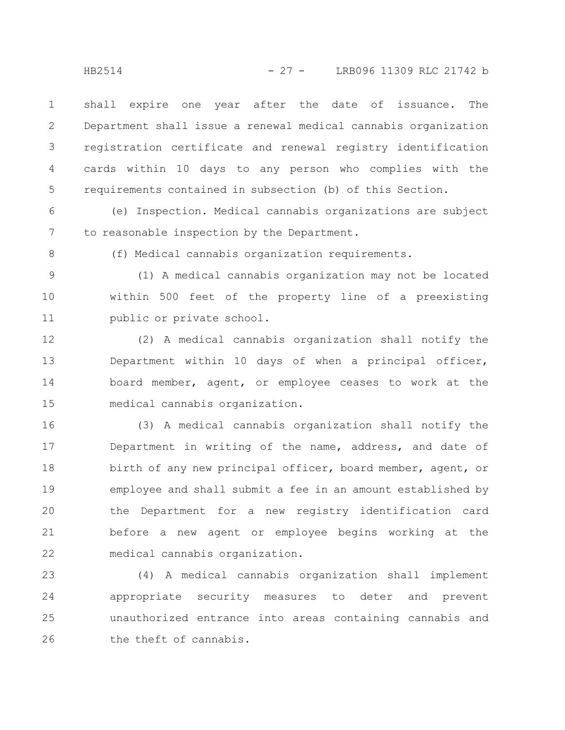shall expire one year after the date of issuance. The Department shall issue a renewal medical cannabis organization registration certificate and renewal registry identification cards within 10 days to any person who complies with the requirements contained in subsection (b) of this Section. 1 2 3 4 5

(e) Inspection. Medical cannabis organizations are subject to reasonable inspection by the Department. 6 7

8

(f) Medical cannabis organization requirements.

9

(1) A medical cannabis organization may not be located within 500 feet of the property line of a preexisting public or private school. 10 11

(2) A medical cannabis organization shall notify the Department within 10 days of when a principal officer, board member, agent, or employee ceases to work at the medical cannabis organization. 12 13 14 15

(3) A medical cannabis organization shall notify the Department in writing of the name, address, and date of birth of any new principal officer, board member, agent, or employee and shall submit a fee in an amount established by the Department for a new registry identification card before a new agent or employee begins working at the medical cannabis organization. 16 17 18 19 20 21 22

(4) A medical cannabis organization shall implement appropriate security measures to deter and prevent unauthorized entrance into areas containing cannabis and the theft of cannabis. 23 24 25 26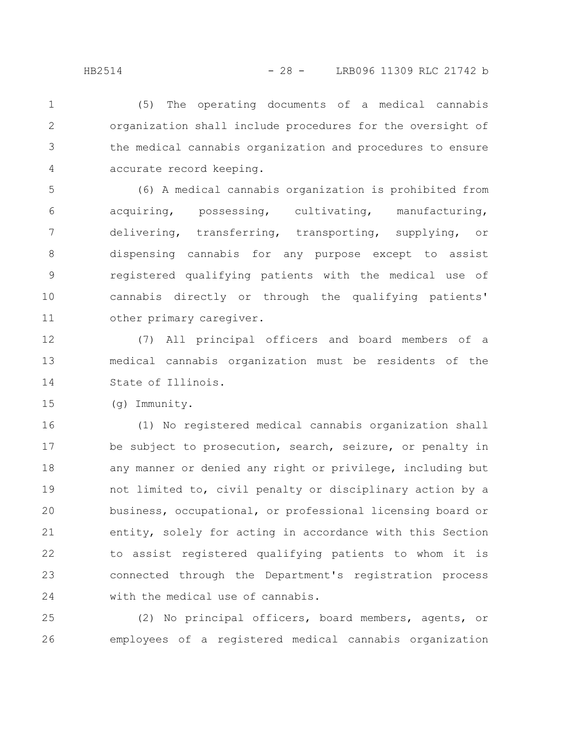(5) The operating documents of a medical cannabis organization shall include procedures for the oversight of the medical cannabis organization and procedures to ensure accurate record keeping. 1 2 3 4

(6) A medical cannabis organization is prohibited from acquiring, possessing, cultivating, manufacturing, delivering, transferring, transporting, supplying, or dispensing cannabis for any purpose except to assist registered qualifying patients with the medical use of cannabis directly or through the qualifying patients' other primary caregiver. 5 6 7 8 9 10 11

(7) All principal officers and board members of a medical cannabis organization must be residents of the State of Illinois. 12 13 14

(g) Immunity. 15

(1) No registered medical cannabis organization shall be subject to prosecution, search, seizure, or penalty in any manner or denied any right or privilege, including but not limited to, civil penalty or disciplinary action by a business, occupational, or professional licensing board or entity, solely for acting in accordance with this Section to assist registered qualifying patients to whom it is connected through the Department's registration process with the medical use of cannabis. 16 17 18 19 20 21 22 23 24

(2) No principal officers, board members, agents, or employees of a registered medical cannabis organization 25 26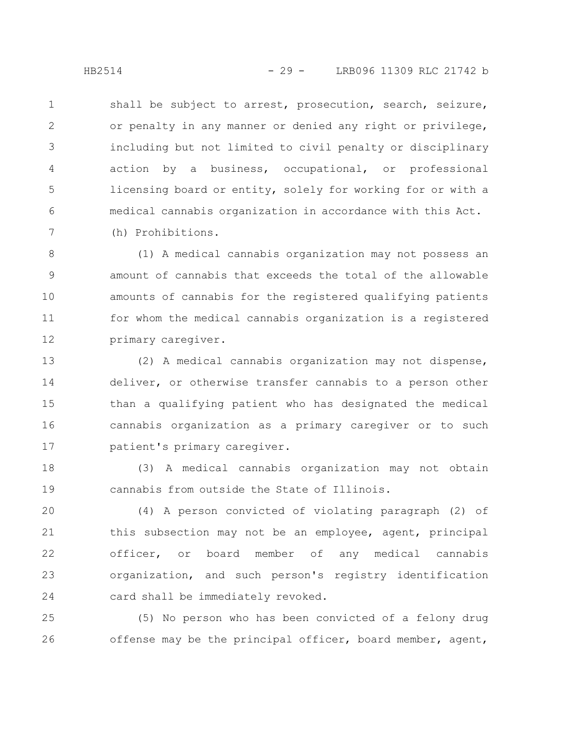shall be subject to arrest, prosecution, search, seizure, or penalty in any manner or denied any right or privilege, including but not limited to civil penalty or disciplinary action by a business, occupational, or professional licensing board or entity, solely for working for or with a medical cannabis organization in accordance with this Act. (h) Prohibitions. 1 2 3 4 5 6 7

(1) A medical cannabis organization may not possess an amount of cannabis that exceeds the total of the allowable amounts of cannabis for the registered qualifying patients for whom the medical cannabis organization is a registered primary caregiver. 8 9 10 11 12

(2) A medical cannabis organization may not dispense, deliver, or otherwise transfer cannabis to a person other than a qualifying patient who has designated the medical cannabis organization as a primary caregiver or to such patient's primary caregiver. 13 14 15 16 17

(3) A medical cannabis organization may not obtain cannabis from outside the State of Illinois. 18 19

(4) A person convicted of violating paragraph (2) of this subsection may not be an employee, agent, principal officer, or board member of any medical cannabis organization, and such person's registry identification card shall be immediately revoked. 20 21 22 23 24

(5) No person who has been convicted of a felony drug offense may be the principal officer, board member, agent, 25 26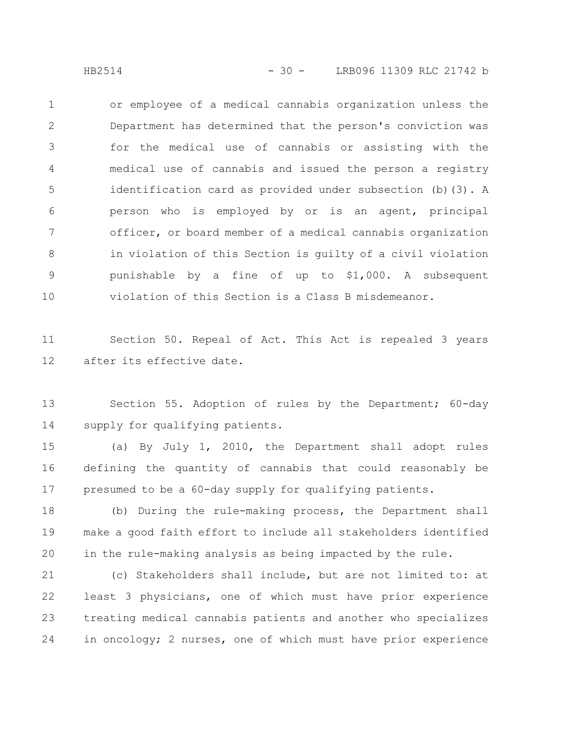HB2514 - 30 - LRB096 11309 RLC 21742 b

or employee of a medical cannabis organization unless the Department has determined that the person's conviction was for the medical use of cannabis or assisting with the medical use of cannabis and issued the person a registry identification card as provided under subsection (b)(3). A person who is employed by or is an agent, principal officer, or board member of a medical cannabis organization in violation of this Section is guilty of a civil violation punishable by a fine of up to \$1,000. A subsequent violation of this Section is a Class B misdemeanor. 1 2 3 4 5 6 7 8 9 10

Section 50. Repeal of Act. This Act is repealed 3 years after its effective date. 11 12

Section 55. Adoption of rules by the Department; 60-day supply for qualifying patients. 13 14

(a) By July 1, 2010, the Department shall adopt rules defining the quantity of cannabis that could reasonably be presumed to be a 60-day supply for qualifying patients. 15 16 17

(b) During the rule-making process, the Department shall make a good faith effort to include all stakeholders identified in the rule-making analysis as being impacted by the rule. 18 19 20

(c) Stakeholders shall include, but are not limited to: at least 3 physicians, one of which must have prior experience treating medical cannabis patients and another who specializes in oncology; 2 nurses, one of which must have prior experience 21 22 23 24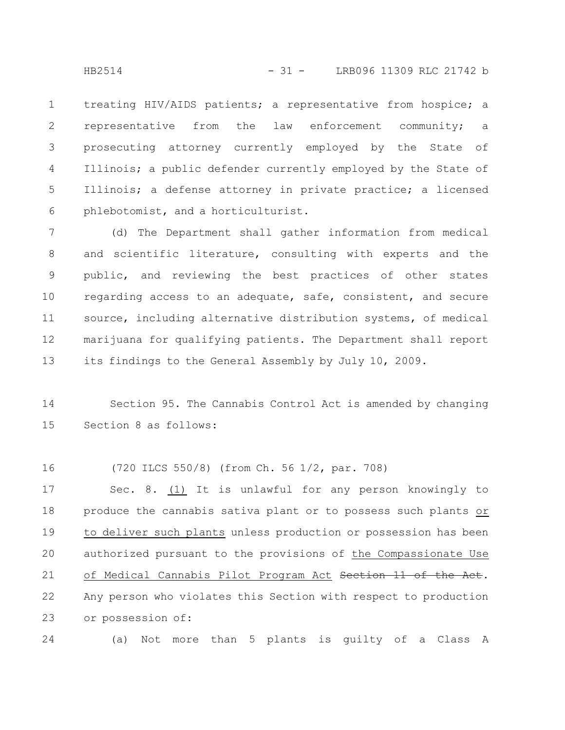treating HIV/AIDS patients; a representative from hospice; a representative from the law enforcement community; a prosecuting attorney currently employed by the State of Illinois; a public defender currently employed by the State of Illinois; a defense attorney in private practice; a licensed phlebotomist, and a horticulturist. 1 2 3 4 5 6

(d) The Department shall gather information from medical and scientific literature, consulting with experts and the public, and reviewing the best practices of other states regarding access to an adequate, safe, consistent, and secure source, including alternative distribution systems, of medical marijuana for qualifying patients. The Department shall report its findings to the General Assembly by July 10, 2009. 7 8 9 10 11 12 13

Section 95. The Cannabis Control Act is amended by changing Section 8 as follows: 14 15

(720 ILCS 550/8) (from Ch. 56 1/2, par. 708) 16

Sec. 8. (1) It is unlawful for any person knowingly to produce the cannabis sativa plant or to possess such plants or to deliver such plants unless production or possession has been authorized pursuant to the provisions of the Compassionate Use of Medical Cannabis Pilot Program Act Section 11 of the Act. Any person who violates this Section with respect to production or possession of: 17 18 19 20 21 22 23

(a) Not more than 5 plants is guilty of a Class A 24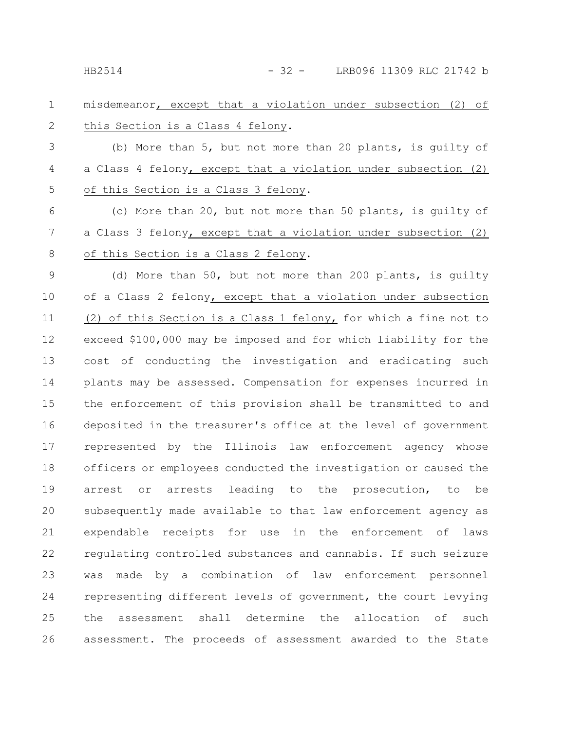misdemeanor, except that a violation under subsection (2) of this Section is a Class 4 felony. 1 2

(b) More than 5, but not more than 20 plants, is guilty of a Class 4 felony, except that a violation under subsection (2) of this Section is a Class 3 felony. 3 4 5

(c) More than 20, but not more than 50 plants, is guilty of a Class 3 felony, except that a violation under subsection (2) of this Section is a Class 2 felony. 6 7 8

(d) More than 50, but not more than 200 plants, is guilty of a Class 2 felony, except that a violation under subsection (2) of this Section is a Class 1 felony, for which a fine not to exceed \$100,000 may be imposed and for which liability for the cost of conducting the investigation and eradicating such plants may be assessed. Compensation for expenses incurred in the enforcement of this provision shall be transmitted to and deposited in the treasurer's office at the level of government represented by the Illinois law enforcement agency whose officers or employees conducted the investigation or caused the arrest or arrests leading to the prosecution, to be subsequently made available to that law enforcement agency as expendable receipts for use in the enforcement of laws regulating controlled substances and cannabis. If such seizure was made by a combination of law enforcement personnel representing different levels of government, the court levying the assessment shall determine the allocation of such assessment. The proceeds of assessment awarded to the State 9 10 11 12 13 14 15 16 17 18 19 20 21 22 23 24 25 26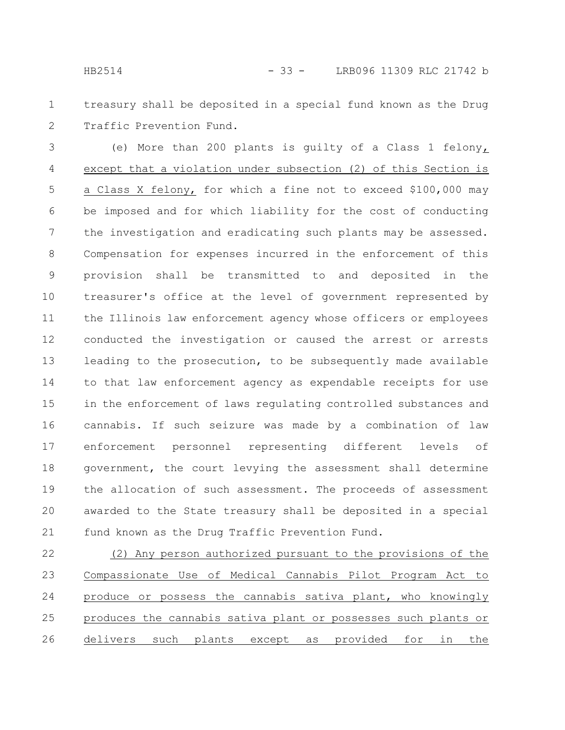treasury shall be deposited in a special fund known as the Drug Traffic Prevention Fund. 1 2

(e) More than 200 plants is guilty of a Class 1 felony, except that a violation under subsection (2) of this Section is a Class X felony, for which a fine not to exceed \$100,000 may be imposed and for which liability for the cost of conducting the investigation and eradicating such plants may be assessed. Compensation for expenses incurred in the enforcement of this provision shall be transmitted to and deposited in the treasurer's office at the level of government represented by the Illinois law enforcement agency whose officers or employees conducted the investigation or caused the arrest or arrests leading to the prosecution, to be subsequently made available to that law enforcement agency as expendable receipts for use in the enforcement of laws regulating controlled substances and cannabis. If such seizure was made by a combination of law enforcement personnel representing different levels of government, the court levying the assessment shall determine the allocation of such assessment. The proceeds of assessment awarded to the State treasury shall be deposited in a special fund known as the Drug Traffic Prevention Fund. 3 4 5 6 7 8 9 10 11 12 13 14 15 16 17 18 19 20 21

(2) Any person authorized pursuant to the provisions of the Compassionate Use of Medical Cannabis Pilot Program Act to produce or possess the cannabis sativa plant, who knowingly produces the cannabis sativa plant or possesses such plants or delivers such plants except as provided for in the 22 23 24 25 26